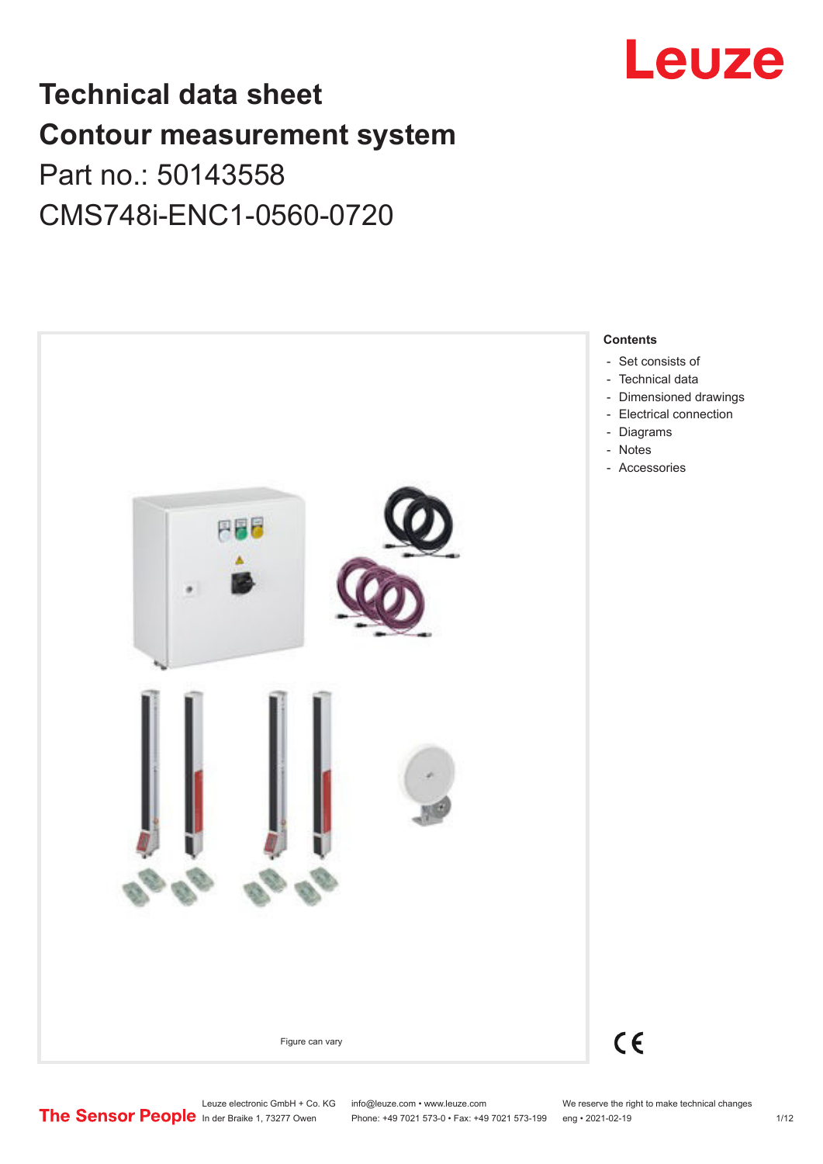

# **Technical data sheet Contour measurement system** Part no.: 50143558

CMS748i-ENC1-0560-0720



Leuze electronic GmbH + Co. KG info@leuze.com • www.leuze.com We reserve the right to make technical changes<br>
The Sensor People in der Braike 1, 73277 Owen Phone: +49 7021 573-0 • Fax: +49 7021 573-199 eng • 2021-02-19

Phone: +49 7021 573-0 • Fax: +49 7021 573-199 eng • 2021-02-19 1/12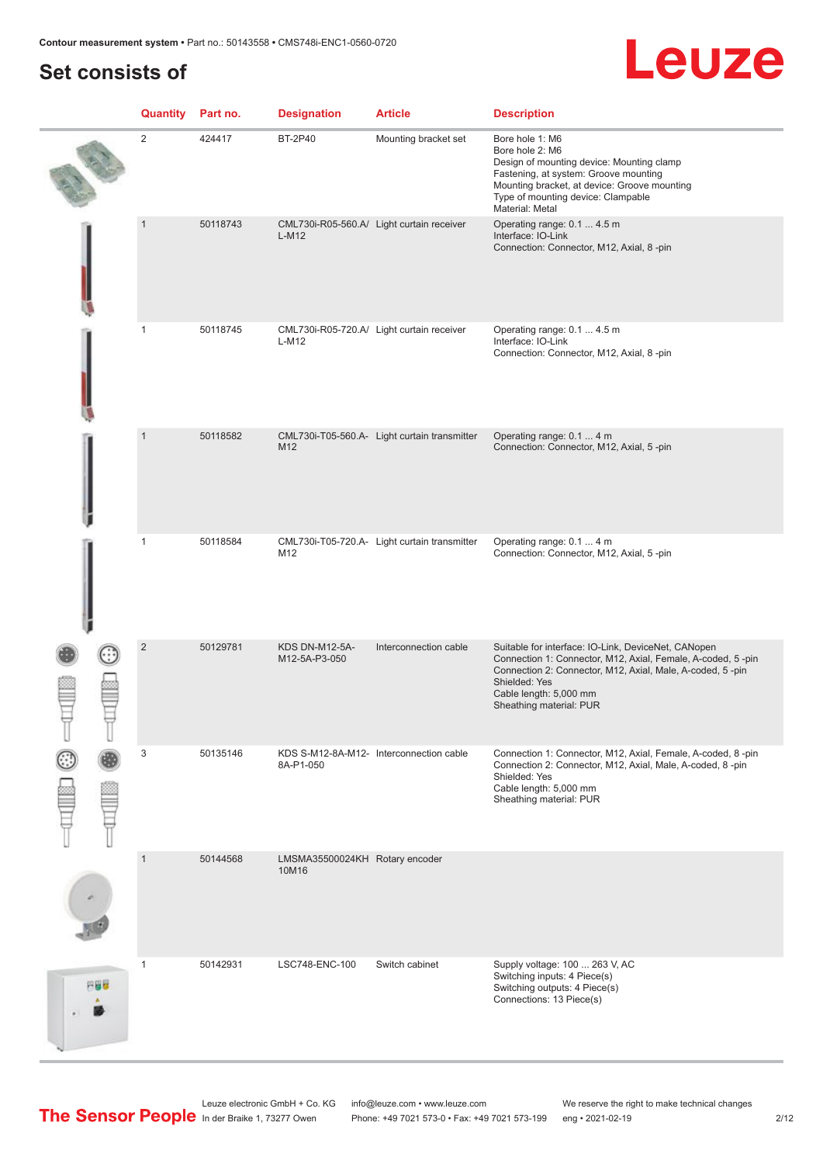# **Set consists of**

# Leuze

|     | Quantity       | Part no. | <b>Designation</b>                      | <b>Article</b>                               | <b>Description</b>                                                                                                                                                                                                                                    |
|-----|----------------|----------|-----------------------------------------|----------------------------------------------|-------------------------------------------------------------------------------------------------------------------------------------------------------------------------------------------------------------------------------------------------------|
|     | $\sqrt{2}$     | 424417   | <b>BT-2P40</b>                          | Mounting bracket set                         | Bore hole 1: M6<br>Bore hole 2: M6<br>Design of mounting device: Mounting clamp<br>Fastening, at system: Groove mounting<br>Mounting bracket, at device: Groove mounting<br>Type of mounting device: Clampable<br>Material: Metal                     |
|     | $\overline{1}$ | 50118743 | $L-M12$                                 | CML730i-R05-560.A/ Light curtain receiver    | Operating range: 0.1  4.5 m<br>Interface: IO-Link<br>Connection: Connector, M12, Axial, 8-pin                                                                                                                                                         |
|     | $\mathbf{1}$   | 50118745 | $L-M12$                                 | CML730i-R05-720.A/ Light curtain receiver    | Operating range: 0.1  4.5 m<br>Interface: IO-Link<br>Connection: Connector, M12, Axial, 8-pin                                                                                                                                                         |
|     | $\overline{1}$ | 50118582 | M12                                     | CML730i-T05-560.A- Light curtain transmitter | Operating range: 0.1  4 m<br>Connection: Connector, M12, Axial, 5-pin                                                                                                                                                                                 |
|     | $\mathbf{1}$   | 50118584 | M12                                     | CML730i-T05-720.A- Light curtain transmitter | Operating range: 0.1  4 m<br>Connection: Connector, M12, Axial, 5-pin                                                                                                                                                                                 |
|     | $\sqrt{2}$     | 50129781 | <b>KDS DN-M12-5A-</b><br>M12-5A-P3-050  | Interconnection cable                        | Suitable for interface: IO-Link, DeviceNet, CANopen<br>Connection 1: Connector, M12, Axial, Female, A-coded, 5-pin<br>Connection 2: Connector, M12, Axial, Male, A-coded, 5-pin<br>Shielded: Yes<br>Cable length: 5,000 mm<br>Sheathing material: PUR |
|     | 3              | 50135146 | 8A-P1-050                               | KDS S-M12-8A-M12- Interconnection cable      | Connection 1: Connector, M12, Axial, Female, A-coded, 8 -pin<br>Connection 2: Connector, M12, Axial, Male, A-coded, 8-pin<br>Shielded: Yes<br>Cable length: 5,000 mm<br>Sheathing material: PUR                                                       |
|     | $\mathbf{1}$   | 50144568 | LMSMA35500024KH Rotary encoder<br>10M16 |                                              |                                                                                                                                                                                                                                                       |
| 円器材 | $\mathbf{1}$   | 50142931 | LSC748-ENC-100                          | Switch cabinet                               | Supply voltage: 100  263 V, AC<br>Switching inputs: 4 Piece(s)<br>Switching outputs: 4 Piece(s)<br>Connections: 13 Piece(s)                                                                                                                           |

Leuze electronic GmbH + Co. KG info@leuze.com • www.leuze.com We reserve the right to make technical changes In der Braike 1, 73277 Owen Phone: +49 7021 573-0 • Fax: +49 7021 573-199 eng • 2021-02-19 2/12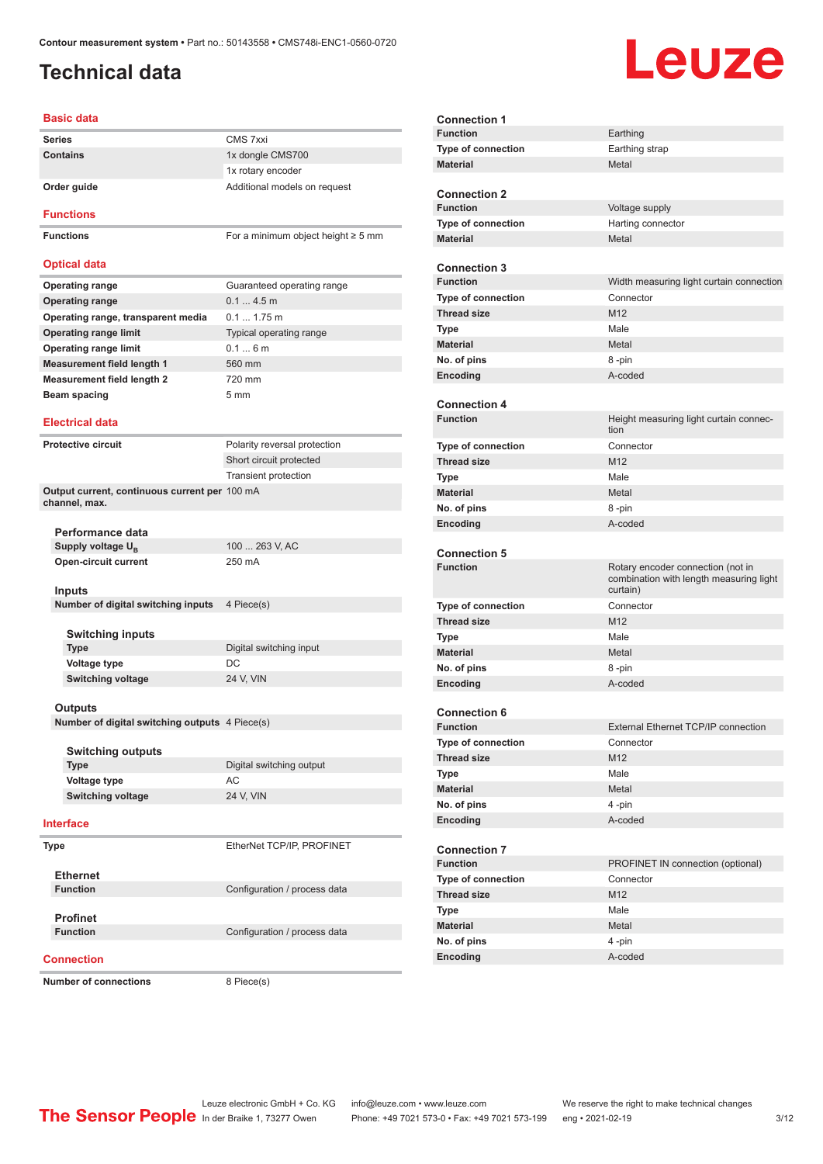# <span id="page-2-0"></span>**Technical data**

# Leuze

| Basic data                                                     |                                         |
|----------------------------------------------------------------|-----------------------------------------|
| <b>Series</b>                                                  | CMS 7xxi                                |
| Contains                                                       | 1x dongle CMS700                        |
|                                                                | 1x rotary encoder                       |
| Order guide                                                    | Additional models on request            |
| <b>Functions</b>                                               |                                         |
| <b>Functions</b>                                               | For a minimum object height $\geq$ 5 mm |
| <b>Optical data</b>                                            |                                         |
| <b>Operating range</b>                                         | Guaranteed operating range              |
| <b>Operating range</b>                                         | 0.14.5m                                 |
| Operating range, transparent media                             | $0.11.75$ m                             |
| <b>Operating range limit</b>                                   | Typical operating range                 |
| <b>Operating range limit</b>                                   | 0.16m                                   |
| <b>Measurement field length 1</b>                              | 560 mm                                  |
| <b>Measurement field length 2</b>                              | 720 mm                                  |
| Beam spacing                                                   | 5 <sub>mm</sub>                         |
| <b>Electrical data</b>                                         |                                         |
|                                                                |                                         |
| <b>Protective circuit</b>                                      | Polarity reversal protection            |
|                                                                | Short circuit protected                 |
|                                                                | <b>Transient protection</b>             |
| Output current, continuous current per 100 mA<br>channel, max. |                                         |
|                                                                |                                         |
| Performance data                                               |                                         |
| Supply voltage U <sub>B</sub>                                  | 100  263 V, AC                          |
| Open-circuit current                                           | 250 mA                                  |
|                                                                |                                         |
| Inputs                                                         |                                         |
| Number of digital switching inputs                             | 4 Piece(s)                              |
|                                                                |                                         |
| <b>Switching inputs</b>                                        |                                         |
| <b>Type</b>                                                    | Digital switching input                 |
| <b>Voltage type</b>                                            | DC                                      |
| <b>Switching voltage</b>                                       | 24 V, VIN                               |
|                                                                |                                         |
| Outputs<br>Number of digital switching outputs 4 Piece(s)      |                                         |
|                                                                |                                         |
| <b>Switching outputs</b>                                       |                                         |
| <b>Type</b>                                                    | Digital switching output                |
| Voltage type                                                   | AC                                      |
| <b>Switching voltage</b>                                       | 24 V, VIN                               |
|                                                                |                                         |
| <b>Interface</b>                                               |                                         |
| Type                                                           | EtherNet TCP/IP, PROFINET               |
|                                                                |                                         |
| <b>Ethernet</b>                                                |                                         |
| <b>Function</b>                                                | Configuration / process data            |
|                                                                |                                         |
| <b>Profinet</b><br><b>Function</b>                             | Configuration / process data            |
|                                                                |                                         |

| <b>Connection 1</b>       |                                                                              |
|---------------------------|------------------------------------------------------------------------------|
| <b>Function</b>           | Earthing                                                                     |
| <b>Type of connection</b> | Earthing strap                                                               |
| <b>Material</b>           | Metal                                                                        |
|                           |                                                                              |
| <b>Connection 2</b>       |                                                                              |
| <b>Function</b>           | Voltage supply                                                               |
| Type of connection        | Harting connector                                                            |
| <b>Material</b>           | Metal                                                                        |
| <b>Connection 3</b>       |                                                                              |
| <b>Function</b>           | Width measuring light curtain connection                                     |
| <b>Type of connection</b> | Connector                                                                    |
| <b>Thread size</b>        | M12                                                                          |
| <b>Type</b>               | Male                                                                         |
| <b>Material</b>           | Metal                                                                        |
| No. of pins               | 8 -pin                                                                       |
| Encoding                  | A-coded                                                                      |
|                           |                                                                              |
| <b>Connection 4</b>       |                                                                              |
| <b>Function</b>           | Height measuring light curtain connec-                                       |
|                           | tion                                                                         |
| <b>Type of connection</b> | Connector                                                                    |
| <b>Thread size</b>        | M12                                                                          |
| Type                      | Male                                                                         |
| <b>Material</b>           | Metal                                                                        |
| No. of pins               | 8-pin                                                                        |
| Encoding                  | A-coded                                                                      |
|                           |                                                                              |
|                           |                                                                              |
| <b>Connection 5</b>       |                                                                              |
| <b>Function</b>           | Rotary encoder connection (not in<br>combination with length measuring light |
|                           | curtain)                                                                     |
| <b>Type of connection</b> | Connector                                                                    |
| <b>Thread size</b>        | M <sub>12</sub>                                                              |
| <b>Type</b>               | Male                                                                         |
| <b>Material</b>           | Metal                                                                        |
| No. of pins               | 8 -pin                                                                       |
| Encoding                  | A-coded                                                                      |
|                           |                                                                              |
| <b>Connection 6</b>       |                                                                              |
| <b>Function</b>           | External Ethernet TCP/IP connection                                          |
| Type of connection        | Connector                                                                    |
| <b>Thread size</b>        | M12                                                                          |
| Type                      | Male                                                                         |
| <b>Material</b>           | Metal                                                                        |
| No. of pins               | 4 -pin                                                                       |
| Encoding                  | A-coded                                                                      |
| <b>Connection 7</b>       |                                                                              |
| <b>Function</b>           | PROFINET IN connection (optional)                                            |
| Type of connection        | Connector                                                                    |
| <b>Thread size</b>        | M12                                                                          |
| <b>Type</b>               | Male                                                                         |
| <b>Material</b>           | Metal                                                                        |
| No. of pins               | 4-pin                                                                        |

#### **Connection**

**Number of connections** 8 Piece(s)

Leuze electronic GmbH + Co. KG info@leuze.com • www.leuze.com We reserve the right to make technical changes In der Braike 1, 73277 Owen Phone: +49 7021 573-0 • Fax: +49 7021 573-199 eng • 2021-02-19 3/12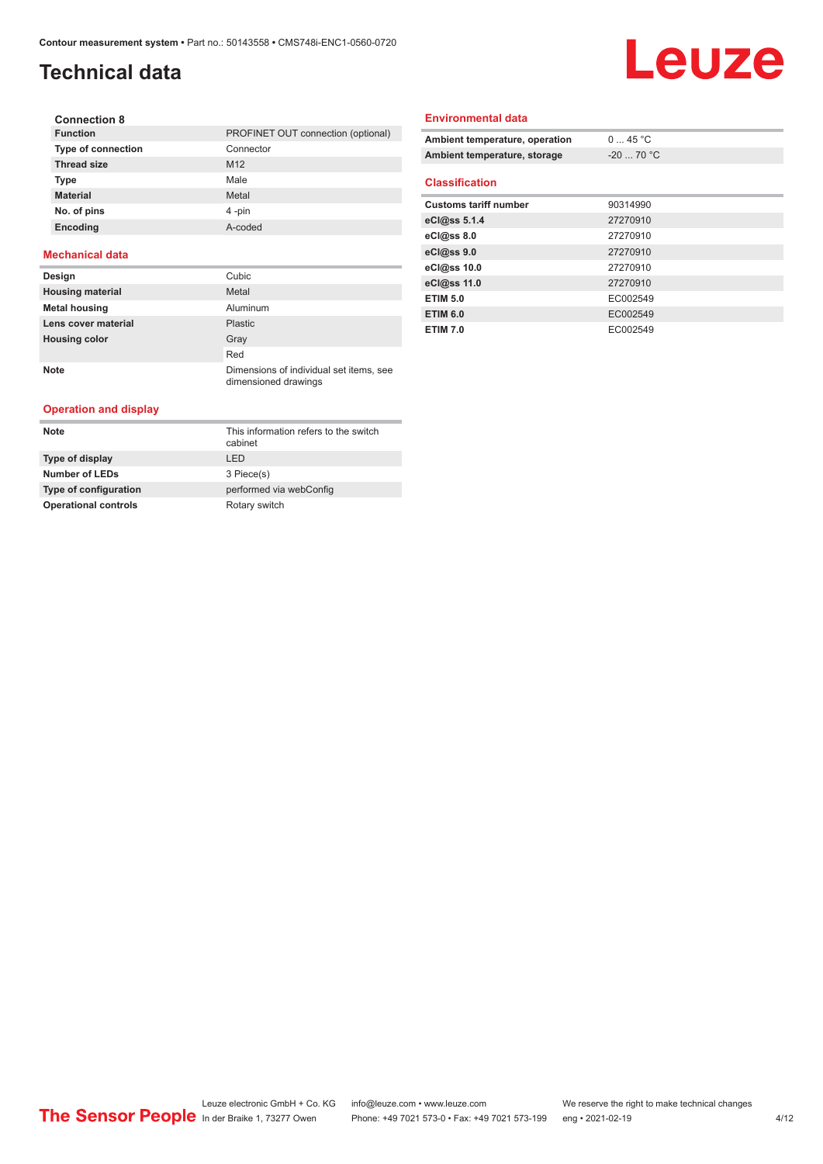# **Technical data**

# Leuze

| <b>Connection 8</b>       |                                    |
|---------------------------|------------------------------------|
| <b>Function</b>           | PROFINET OUT connection (optional) |
| <b>Type of connection</b> | Connector                          |
| <b>Thread size</b>        | M <sub>12</sub>                    |
| <b>Type</b>               | Male                               |
| <b>Material</b>           | Metal                              |
| No. of pins               | 4-pin                              |
| Encoding                  | A-coded                            |

#### **Mechanical data**

| Design                  | Cubic                                                           |
|-------------------------|-----------------------------------------------------------------|
| <b>Housing material</b> | Metal                                                           |
| <b>Metal housing</b>    | Aluminum                                                        |
| Lens cover material     | <b>Plastic</b>                                                  |
| <b>Housing color</b>    | Gray                                                            |
|                         | Red                                                             |
| <b>Note</b>             | Dimensions of individual set items, see<br>dimensioned drawings |

#### **Operation and display**

| <b>Note</b>                 | This information refers to the switch<br>cabinet |
|-----------------------------|--------------------------------------------------|
| Type of display             | I FD                                             |
| <b>Number of LEDs</b>       | 3 Piece(s)                                       |
| Type of configuration       | performed via webConfig                          |
| <b>Operational controls</b> | Rotary switch                                    |

#### **Environmental data**

| Ambient temperature, operation | $0 \dots 45$ °C |
|--------------------------------|-----------------|
| Ambient temperature, storage   | $-20$ 70 °C     |
|                                |                 |
| <b>Classification</b>          |                 |
| <b>Customs tariff number</b>   | 90314990        |
| eCl@ss 5.1.4                   | 27270910        |
| eCl@ss 8.0                     | 27270910        |
| eCl@ss 9.0                     | 27270910        |
| eCl@ss 10.0                    | 27270910        |
| eCl@ss 11.0                    | 27270910        |
| <b>ETIM 5.0</b>                | EC002549        |
| <b>ETIM 6.0</b>                | EC002549        |
| <b>ETIM 7.0</b>                | EC002549        |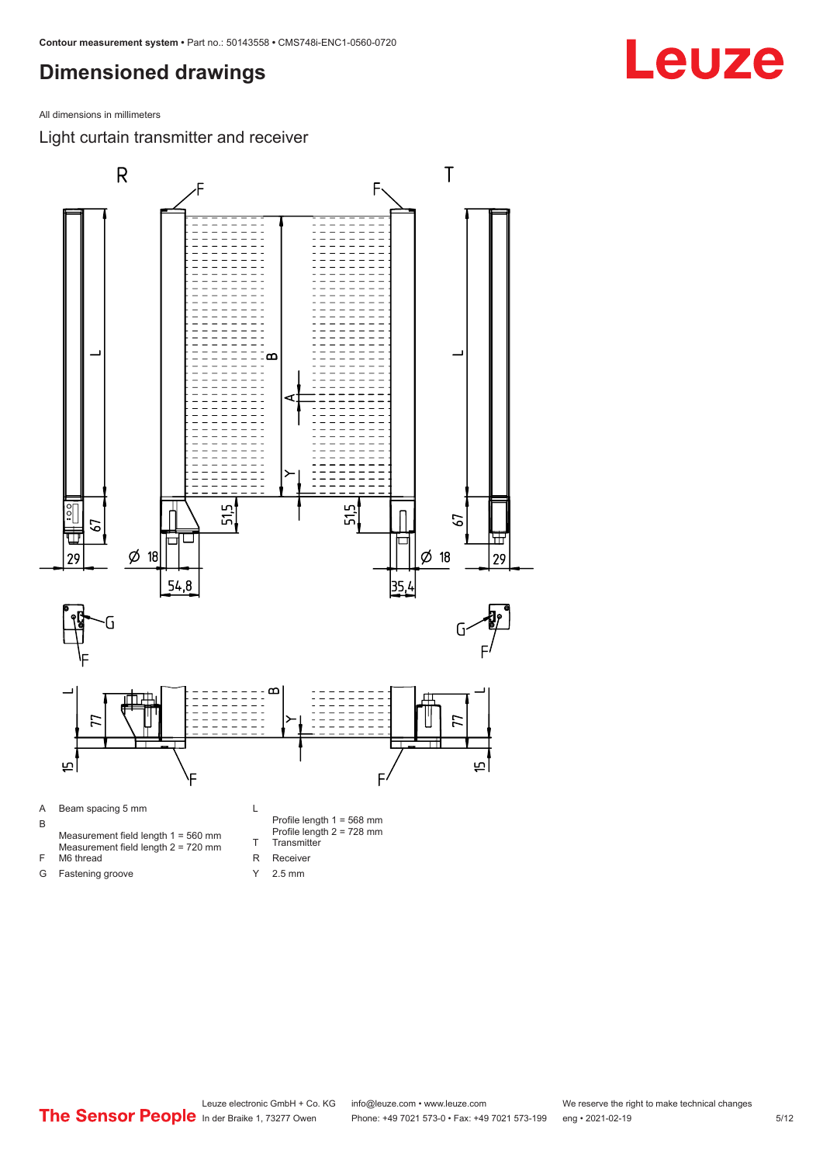<span id="page-4-0"></span>All dimensions in millimeters

Light curtain transmitter and receiver



Y 2.5 mm

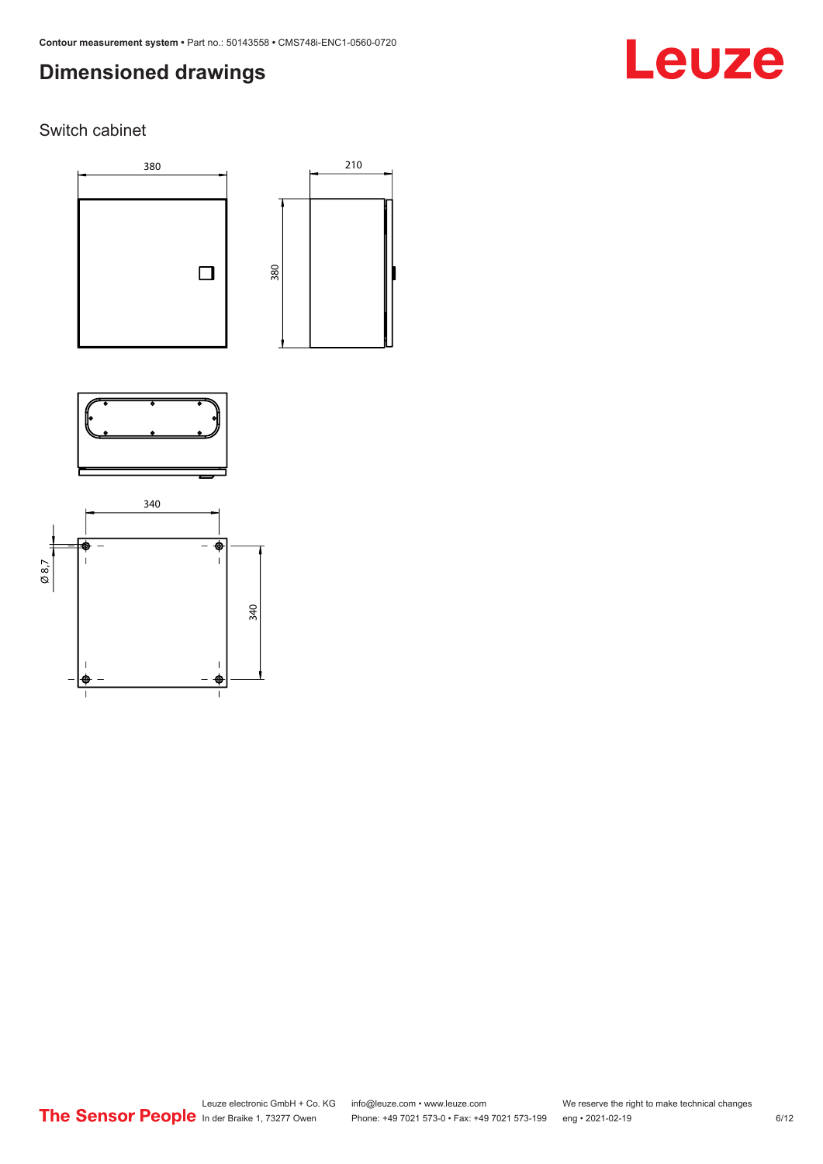# Leuze

### Switch cabinet





210



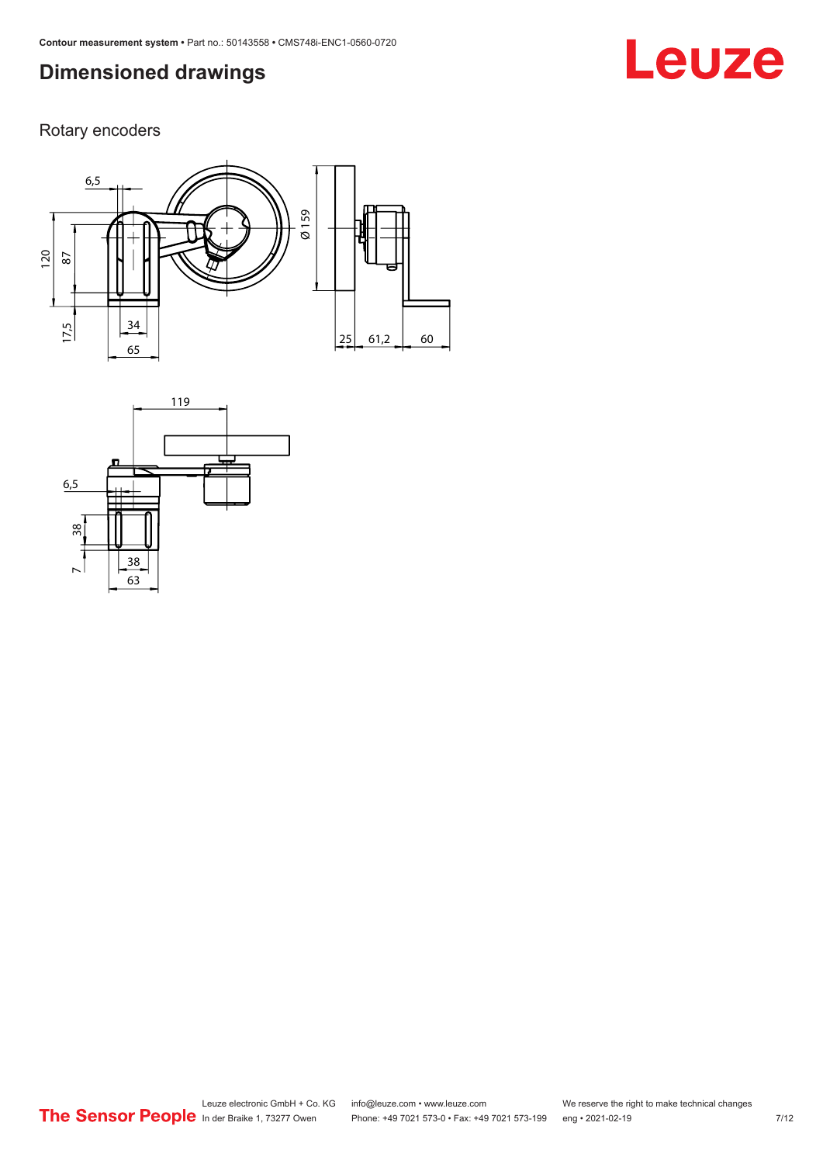# **Leuze**

Rotary encoders



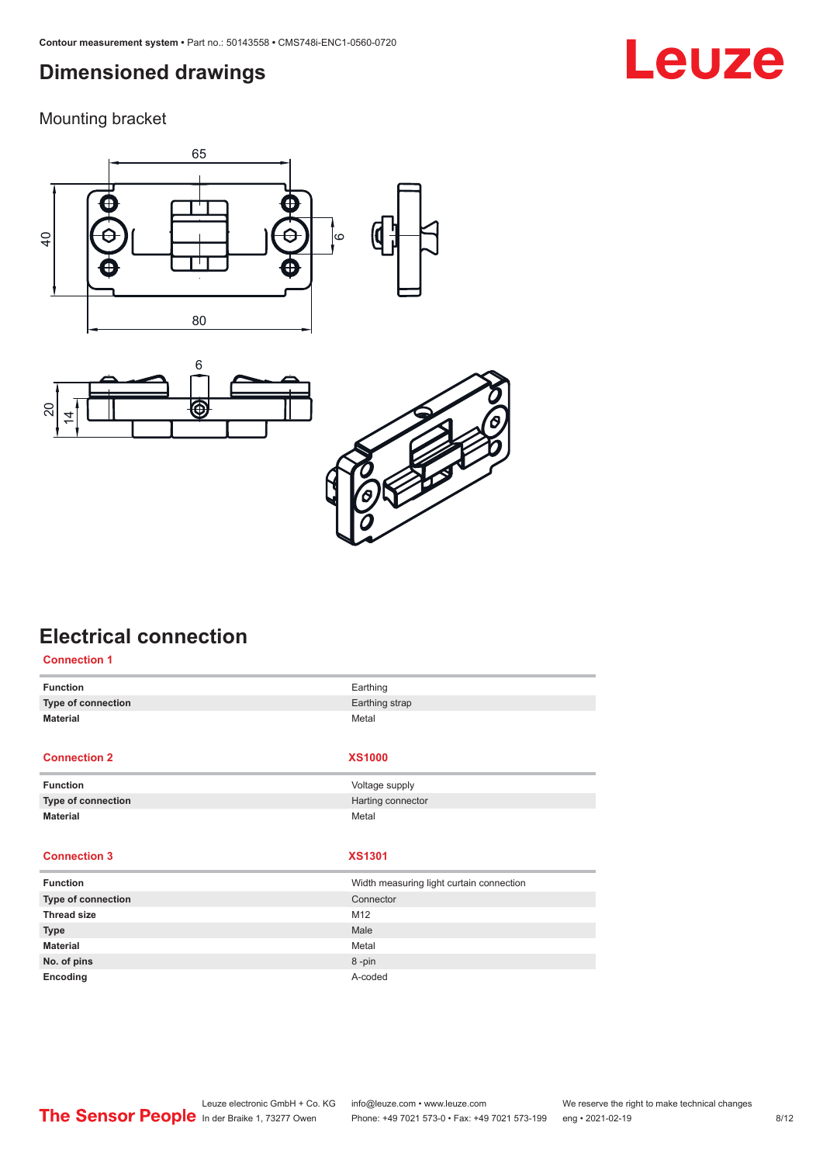<span id="page-7-0"></span>Mounting bracket







# **Electrical connection**

| <b>Connection 1</b> |                                          |
|---------------------|------------------------------------------|
| <b>Function</b>     | Earthing                                 |
| Type of connection  | Earthing strap                           |
| <b>Material</b>     | Metal                                    |
|                     |                                          |
| <b>Connection 2</b> | <b>XS1000</b>                            |
| <b>Function</b>     | Voltage supply                           |
| Type of connection  | Harting connector                        |
| <b>Material</b>     | Metal                                    |
|                     |                                          |
| <b>Connection 3</b> | <b>XS1301</b>                            |
| <b>Function</b>     | Width measuring light curtain connection |
| Type of connection  | Connector                                |
| <b>Thread size</b>  | M12                                      |
| <b>Type</b>         | Male                                     |
| <b>Material</b>     | Metal                                    |
| No. of pins         | 8-pin                                    |
| Encoding            | A-coded                                  |

# **Leuze**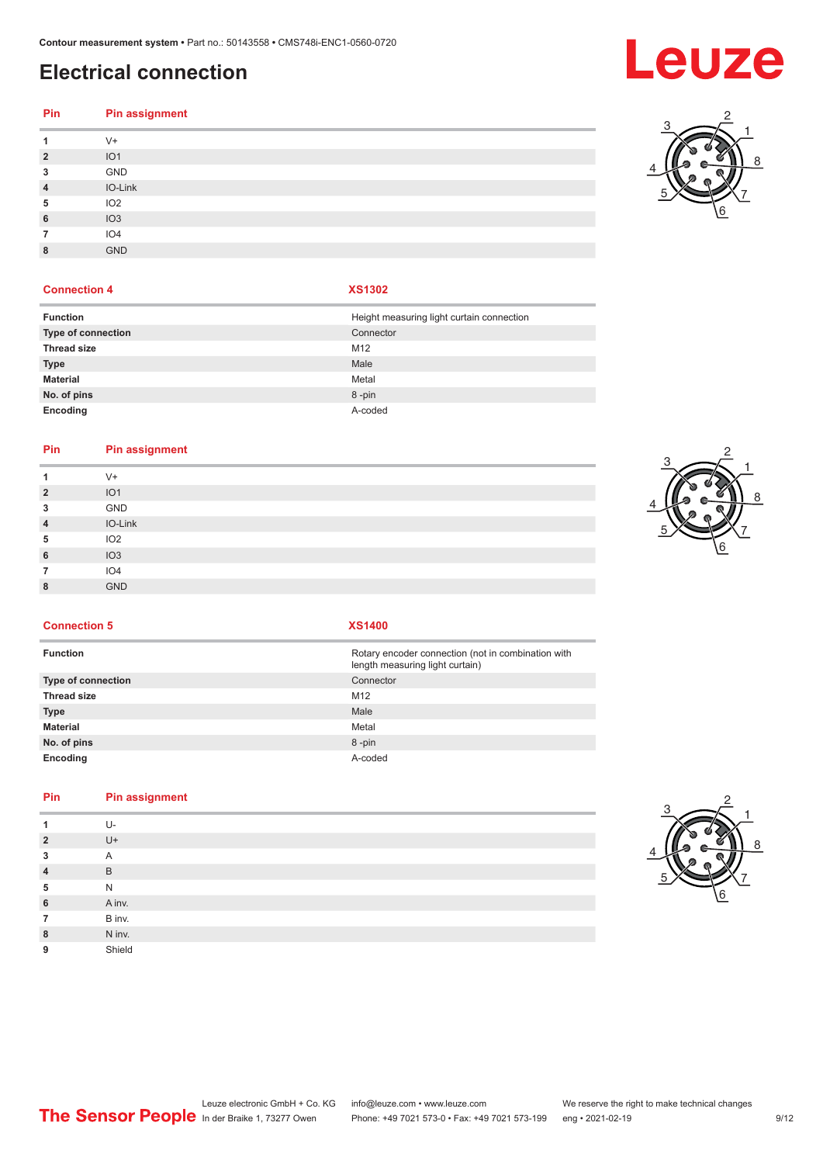# **Electrical connection**

### **Pin Pin assignment** V+ IO1 GND IO-Link IO2 IO3 IO4 GND

#### **Connection 4 XS1302**

| <b>Function</b>    | Height measuring light curtain connection |
|--------------------|-------------------------------------------|
| Type of connection | Connector                                 |
| <b>Thread size</b> | M <sub>12</sub>                           |
| <b>Type</b>        | Male                                      |
| <b>Material</b>    | Metal                                     |
| No. of pins        | 8-pin                                     |
| Encoding           | A-coded                                   |

#### **Pin Pin assignment**

| 1              | $V +$           |
|----------------|-----------------|
| $\overline{2}$ | IO <sub>1</sub> |
| 3              | GND             |
| $\overline{4}$ | IO-Link         |
| 5              | IO <sub>2</sub> |
| 6              | IO <sub>3</sub> |
| 7              | IO4             |
| 8              | <b>GND</b>      |
|                |                 |



**Connection 5 XS1400**

| <b>Function</b>           | Rotary encoder connection (not in combination with<br>length measuring light curtain) |
|---------------------------|---------------------------------------------------------------------------------------|
| <b>Type of connection</b> | Connector                                                                             |
| <b>Thread size</b>        | M <sub>12</sub>                                                                       |
| Type                      | Male                                                                                  |
| Material                  | Metal                                                                                 |
| No. of pins               | 8-pin                                                                                 |
| Encoding                  | A-coded                                                                               |

### **Pin Pin assignment**

|                | U-     |
|----------------|--------|
| $\overline{2}$ | $U +$  |
| 3              | A      |
| $\overline{4}$ | B      |
| 5              | N      |
| 6              | A inv. |
| 7              | B inv. |
| 8              | N inv. |
| 9              | Shield |
|                |        |





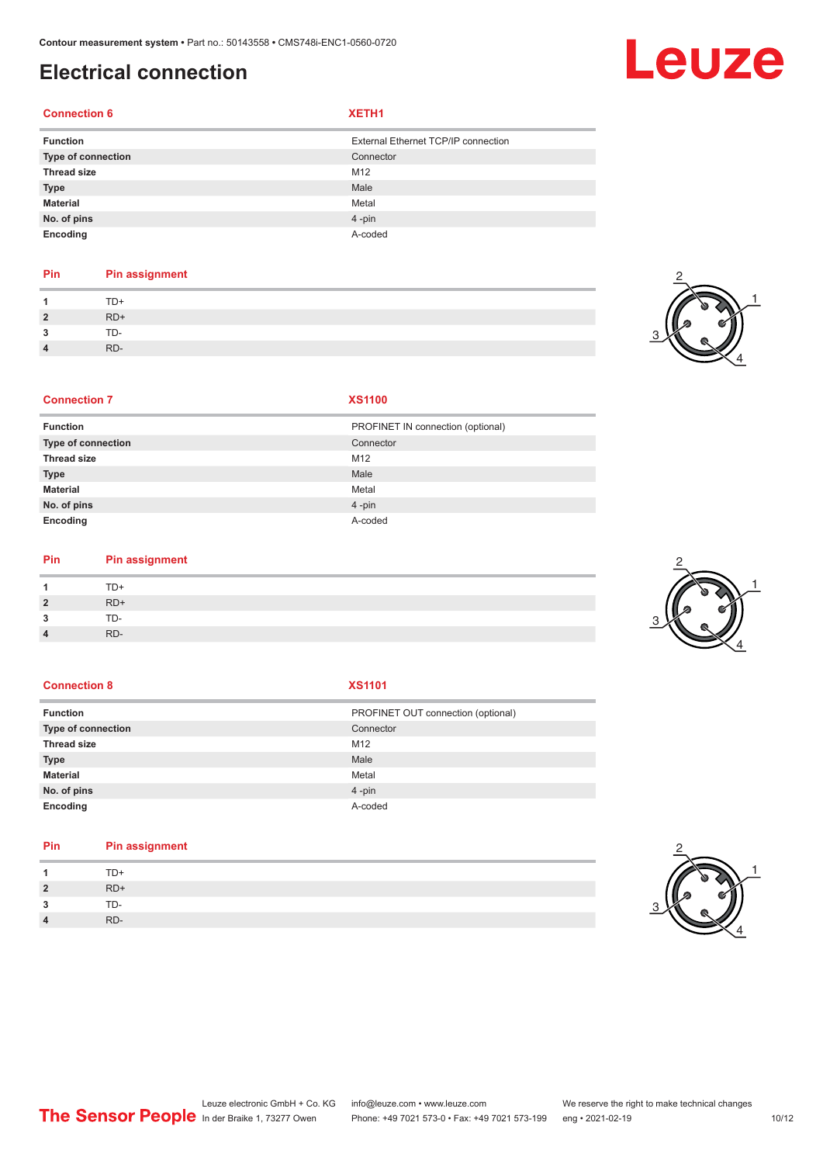# **Electrical connection**

#### **Connection 6 XETH1**

| <b>Function</b>    | External Ethernet TCP/IP connection |
|--------------------|-------------------------------------|
| Type of connection | Connector                           |
| <b>Thread size</b> | M12                                 |
| <b>Type</b>        | Male                                |
| Material           | Metal                               |
| No. of pins        | $4 - pin$                           |
| Encoding           | A-coded                             |

### **Pin Pin assignment**

| $\blacktriangleleft$ | $TD+$ |
|----------------------|-------|
| $\overline{2}$       | $RD+$ |
| $\mathbf{3}$         | TD-   |
| $\overline{4}$       | RD-   |



2

#### **Connection 7 XS1100**

| PROFINET IN connection (optional) |
|-----------------------------------|
| Connector                         |
| M <sub>12</sub>                   |
| Male                              |
| Metal                             |
| 4-pin                             |
| A-coded                           |
|                                   |

#### **Pin Pin assignment**

| $\overline{\mathbf{A}}$ | $TD+$ |
|-------------------------|-------|
| $\overline{2}$          | RD+   |
| 3                       | TD-   |
| $\overline{4}$          | RD-   |

#### **Connection 8 XS1101**

| <b>Function</b>           | PROFINET OUT connection (optional) |
|---------------------------|------------------------------------|
| <b>Type of connection</b> | Connector                          |
| <b>Thread size</b>        | M12                                |
| <b>Type</b>               | Male                               |
| <b>Material</b>           | Metal                              |
| No. of pins               | $4$ -pin                           |
| Encoding                  | A-coded                            |

### **Pin Pin assignment**

| -1             | TD+   |
|----------------|-------|
| $\overline{2}$ | $RD+$ |
| $\mathbf{3}$   | TD-   |
| $\overline{4}$ | RD-   |





Leuze electronic GmbH + Co. KG info@leuze.com • www.leuze.com We reserve the right to make technical changes<br>
The Sensor People in der Braike 1, 73277 Owen Phone: +49 7021 573-0 • Fax: +49 7021 573-199 eng • 2021-02-19 Phone: +49 7021 573-0 • Fax: +49 7021 573-199 eng • 2021-02-19 10/12

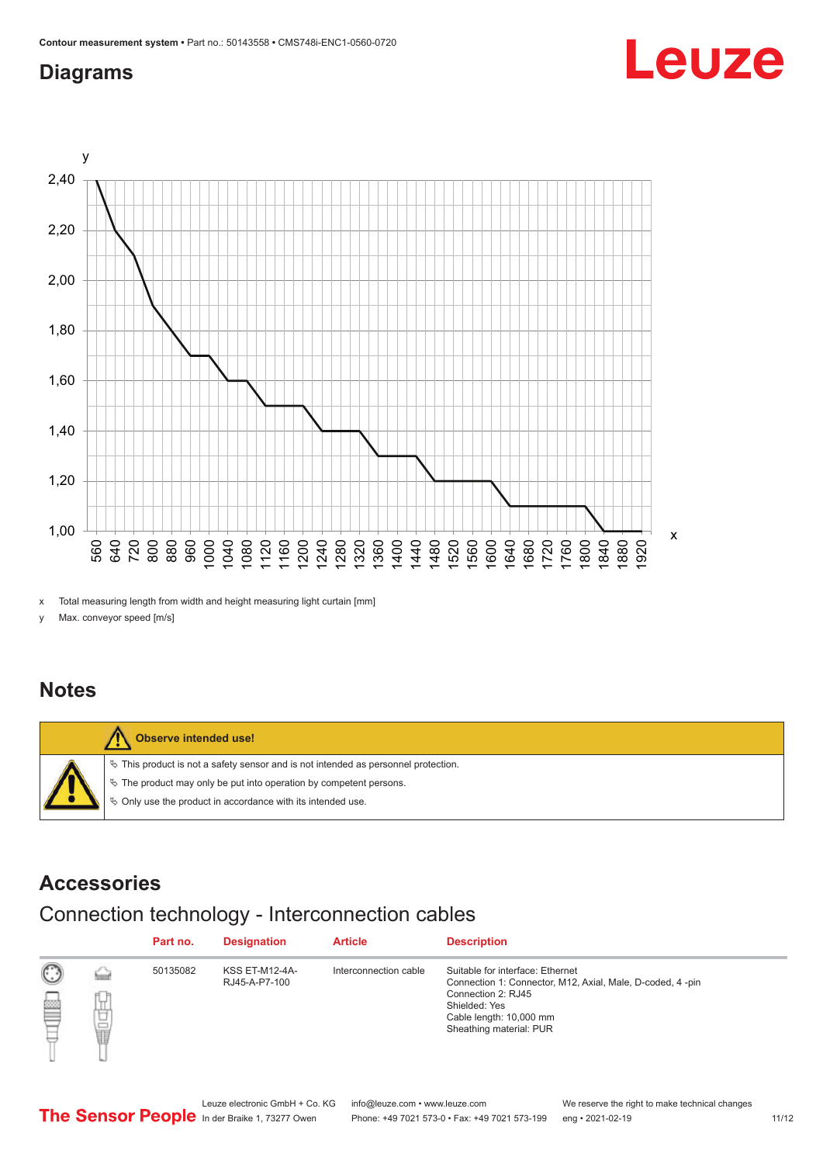## <span id="page-10-0"></span>**Diagrams**



x Total measuring length from width and height measuring light curtain [mm]

y Max. conveyor speed [m/s]

### **Notes**



### **Accessories**

## Connection technology - Interconnection cables

|   |           | Part no. | <b>Designation</b>                     | <b>Article</b>        | <b>Description</b>                                                                                                                                                                         |
|---|-----------|----------|----------------------------------------|-----------------------|--------------------------------------------------------------------------------------------------------------------------------------------------------------------------------------------|
| ▩ | Т.,<br>甘量 | 50135082 | <b>KSS ET-M12-4A-</b><br>RJ45-A-P7-100 | Interconnection cable | Suitable for interface: Ethernet<br>Connection 1: Connector, M12, Axial, Male, D-coded, 4-pin<br>Connection 2: RJ45<br>Shielded: Yes<br>Cable length: 10,000 mm<br>Sheathing material: PUR |

Leuze